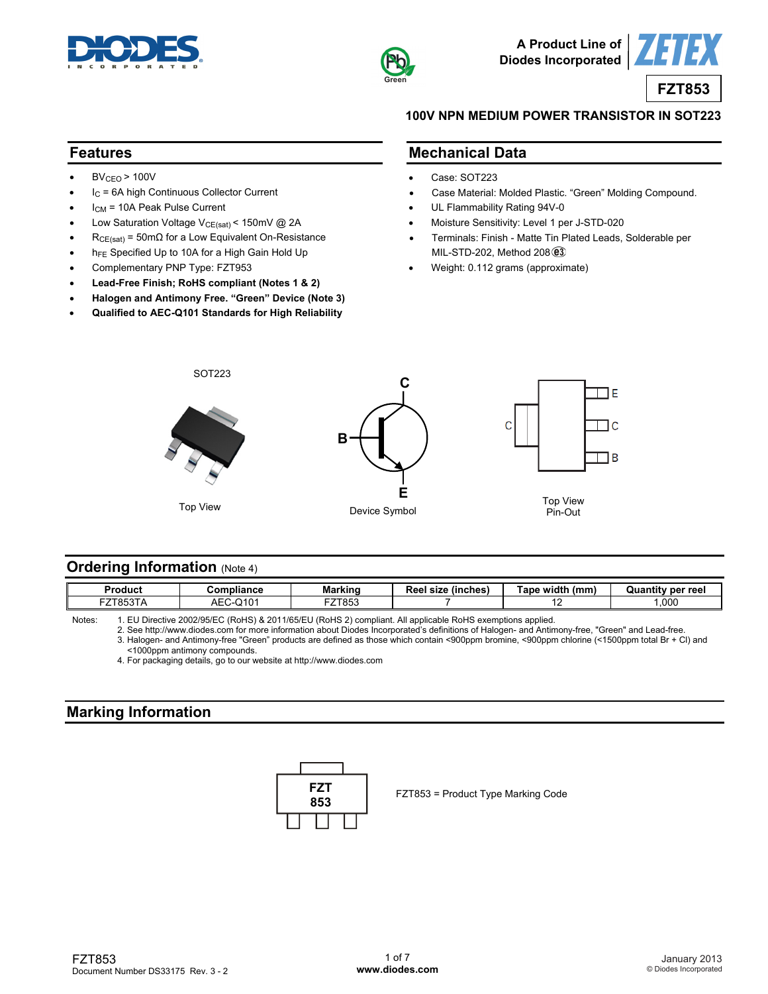



**A Product Line of Diodes Incorporated**



#### **100V NPN MEDIUM POWER TRANSISTOR IN SOT223**

#### **Features**

- $BV<sub>CEO</sub> > 100V$
- $I_C = 6A$  high Continuous Collector Current
- I<sub>CM</sub> = 10A Peak Pulse Current
- Low Saturation Voltage  $V_{CE(sat)}$  < 150mV @ 2A
- $R_{CE(sat)} = 50 \text{m}\Omega$  for a Low Equivalent On-Resistance
- h<sub>FE</sub> Specified Up to 10A for a High Gain Hold Up
- Complementary PNP Type: FZT953
- **Lead-Free Finish; RoHS compliant (Notes 1 & 2)**
- **Halogen and Antimony Free. "Green" Device (Note 3)**
- **Qualified to AEC-Q101 Standards for High Reliability**

#### **Mechanical Data**

- Case: SOT223
- Case Material: Molded Plastic. "Green" Molding Compound.
- UL Flammability Rating 94V-0
- Moisture Sensitivity: Level 1 per J-STD-020
- Terminals: Finish Matte Tin Plated Leads, Solderable per MIL-STD-202, Method 208 3
- Weight: 0.112 grams (approximate)



#### **Ordering Information (Note 4)**

| ,000<br>$\bigcap$<br><b>FZT853</b><br>ZT853T/<br>AЕC<br>- 1555<br>. . | Product | Compliance | Markinc | $\sim$<br>Reel<br>(inches)<br>size | width!<br>(mm)<br>ape | Quantity per reel |
|-----------------------------------------------------------------------|---------|------------|---------|------------------------------------|-----------------------|-------------------|
|                                                                       |         |            |         |                                    |                       |                   |

Notes: 1. EU Directive 2002/95/EC (RoHS) & 2011/65/EU (RoHS 2) compliant. All applicable RoHS exemptions applied.

 2. See [http://www.diodes.com fo](http://www.diodes.com)r more information about Diodes Incorporated's definitions of Halogen- and Antimony-free, "Green" and Lead-free. 3. Halogen- and Antimony-free "Green" products are defined as those which contain <900ppm bromine, <900ppm chlorine (<1500ppm total Br + Cl) and <1000ppm antimony compounds.

4. For packaging details, go to our website at <http://www.diodes.com>

## **Marking Information**



FZT853 = Product Type Marking Code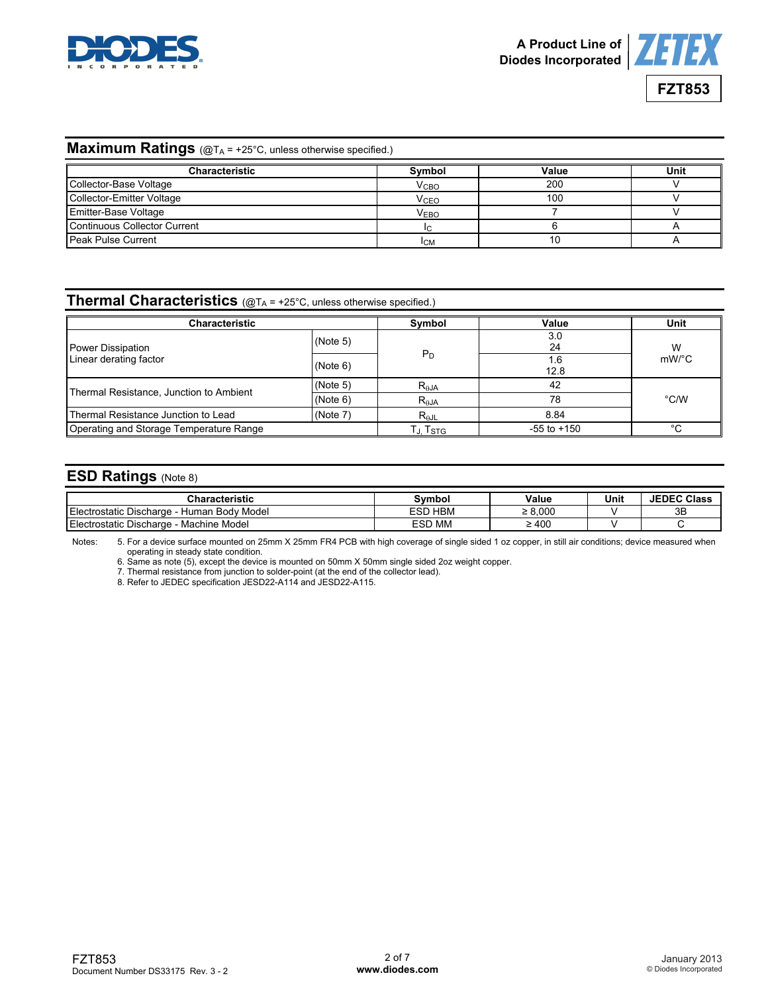



## **Maximum Ratings** (@T<sub>A</sub> = +25°C, unless otherwise specified.)

| <b>Characteristic</b>        | Symbol                 | Value | Unit |
|------------------------------|------------------------|-------|------|
| Collector-Base Voltage       | V <sub>CHO</sub>       | 200   |      |
| Collector-Emitter Voltage    | <b>V<sub>CEO</sub></b> | 100   |      |
| <b>Emitter-Base Voltage</b>  | V <sub>EBO</sub>       |       |      |
| Continuous Collector Current |                        |       |      |
| <b>I Peak Pulse Current</b>  | <b>ICM</b>             | 10    |      |

# **Thermal Characteristics** (@TA = +25°C, unless otherwise specified.)

| Characteristic                          | Symbol   | Value                    | Unit        |       |  |
|-----------------------------------------|----------|--------------------------|-------------|-------|--|
| Power Dissipation                       | (Note 5) |                          | 3.0<br>24   | W     |  |
| Linear derating factor                  | (Note 6) | $P_D$                    | 1.6<br>12.8 | mW/°C |  |
| (Note 5)                                |          | $R_{\theta}$ JA          | 42          |       |  |
| Thermal Resistance, Junction to Ambient | (Note 6) | $\mathsf{R}_{\theta}$ JA | 78          | °C/W  |  |
| Thermal Resistance Junction to Lead     | (Note 7) | $R_{\theta$ JL           | 8.84        |       |  |
| Operating and Storage Temperature Range | Гл. Tsтg | $-55$ to $+150$          | °C.         |       |  |

### **ESD Ratings** (Note 8)

| en rietio<br>.acteristic                                          | `vmbo.                   | Value      | Unit | <b>JEDEC</b><br>Class |
|-------------------------------------------------------------------|--------------------------|------------|------|-----------------------|
| -<br>-<br>ı Bodv Model<br>: Discharge<br>⊃static∴<br>Human<br>Her | <b>HBM</b><br><b>ESP</b> | 8.000      |      | 3B                    |
| - -<br>-<br>Machine Model<br>ostatic Discharge<br>Hec             | <b>MM</b><br>ren<br>ᆮᇰᄂ  | $\geq 400$ |      |                       |

Notes: 5. For a device surface mounted on 25mm X 25mm FR4 PCB with high coverage of single sided 1 oz copper, in still air conditions; device measured when operating in steady state condition.

6. Same as note (5), except the device is mounted on 50mm X 50mm single sided 2oz weight copper.

7. Thermal resistance from junction to solder-point (at the end of the collector lead).

8. Refer to JEDEC specification JESD22-A114 and JESD22-A115.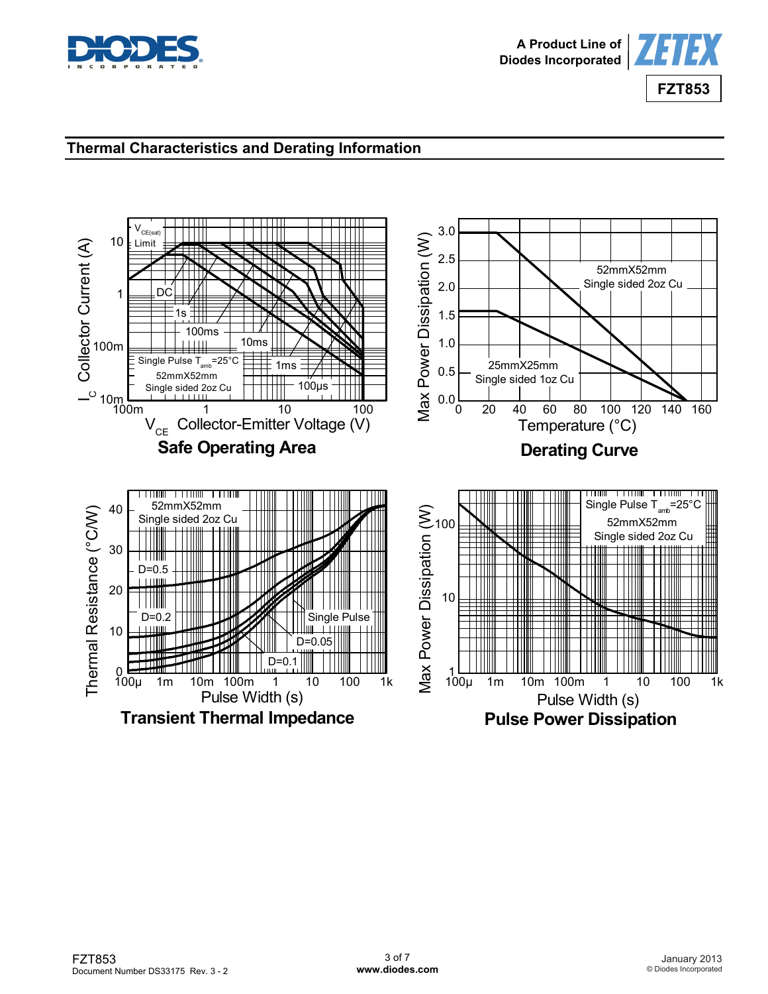



# **Thermal Characteristics and Derating Information**

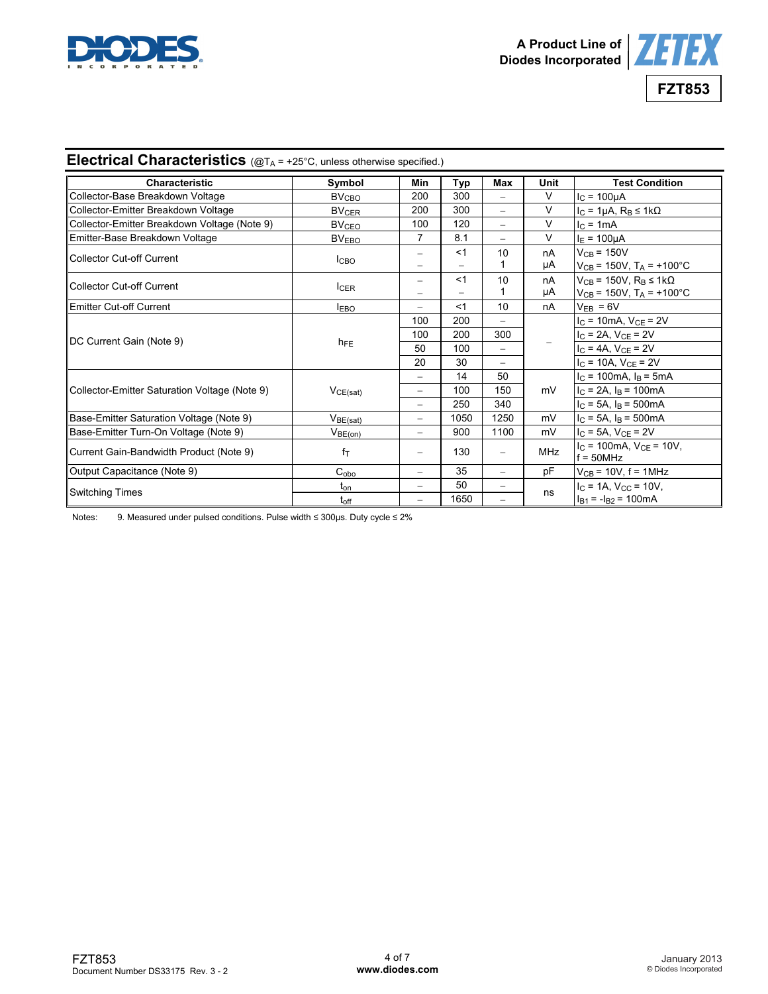



# **Electrical Characteristics** (@TA = +25°C, unless otherwise specified.)

| <b>Characteristic</b>                         | Symbol                  | Min                      | Typ   | Max               | Unit       | <b>Test Condition</b>                                                            |  |
|-----------------------------------------------|-------------------------|--------------------------|-------|-------------------|------------|----------------------------------------------------------------------------------|--|
| Collector-Base Breakdown Voltage              | BV <sub>CBO</sub>       | 200                      | 300   |                   | $\vee$     | $I_C = 100 \mu A$                                                                |  |
| Collector-Emitter Breakdown Voltage           | <b>BV<sub>CER</sub></b> | 200                      | 300   | $\qquad \qquad -$ | $\vee$     | $I_C = 1\mu A$ , $R_B \le 1k\Omega$                                              |  |
| Collector-Emitter Breakdown Voltage (Note 9)  | $BV_{\text{CEO}}$       | 100                      | 120   | $\equiv$          | $\vee$     | $IC$ = 1mA                                                                       |  |
| Emitter-Base Breakdown Voltage                | BV <sub>EBO</sub>       | 7                        | 8.1   | $\equiv$          | $\vee$     | $I_{E} = 100 \mu A$                                                              |  |
| Collector Cut-off Current                     | I <sub>CBO</sub>        | -<br>-                   | $<$ 1 | 10                | nA<br>μA   | $V_{CB}$ = 150V<br>$V_{CB}$ = 150V, T <sub>A</sub> = +100°C                      |  |
| Collector Cut-off Current                     | <b>ICER</b>             | -                        | $<$ 1 | 10                | nA<br>μA   | $V_{CB}$ = 150V, $R_B \leq 1k\Omega$<br>$V_{CB}$ = 150V, T <sub>A</sub> = +100°C |  |
| Emitter Cut-off Current                       | <b>IEBO</b>             | Ξ.                       | $<$ 1 | 10                | nA         | $V_{EB} = 6V$                                                                    |  |
|                                               |                         | 100                      | 200   |                   |            | $IC$ = 10mA, $VCE$ = 2V                                                          |  |
|                                               |                         | 100                      | 200   | 300               |            | $I_C = 2A$ , $V_{CE} = 2V$                                                       |  |
| DC Current Gain (Note 9)                      | $h_{FE}$                | 50                       | 100   | $\equiv$          |            | $I_{C} = 4A$ , $V_{CE} = 2V$                                                     |  |
|                                               |                         | 20                       | 30    |                   |            | $I_C = 10A$ , $V_{CE} = 2V$                                                      |  |
|                                               |                         | ÷.                       | 14    | 50                |            | $I_C = 100 \text{mA}$ , $I_B = 5 \text{mA}$                                      |  |
| Collector-Emitter Saturation Voltage (Note 9) | VCE(sat)                |                          | 100   | 150               | mV         | $I_C = 2A$ , $I_B = 100mA$                                                       |  |
|                                               |                         | -                        | 250   | 340               |            | $I_C = 5A$ , $I_B = 500mA$                                                       |  |
| Base-Emitter Saturation Voltage (Note 9)      | V <sub>BE(sat)</sub>    | $\overline{\phantom{0}}$ | 1050  | 1250              | mV         | $I_C = 5A$ , $I_B = 500mA$                                                       |  |
| Base-Emitter Turn-On Voltage (Note 9)         | V <sub>BE(on)</sub>     | Ξ.                       | 900   | 1100              | mV         | $I_{C}$ = 5A, $V_{CE}$ = 2V                                                      |  |
| Current Gain-Bandwidth Product (Note 9)       | $f_T$                   | $\overline{\phantom{0}}$ | 130   | $\qquad \qquad -$ | <b>MHz</b> | $I_C = 100 \text{mA}$ , $V_{CF} = 10 V$ ,<br>$f = 50MHz$                         |  |
| Output Capacitance (Note 9)                   | $C_{\alpha b\alpha}$    | Ξ.                       | 35    | $\equiv$          | pF         | $V_{CB}$ = 10V, f = 1MHz                                                         |  |
| <b>Switching Times</b>                        | $t_{on}$                | ÷                        | 50    |                   |            | $I_C = 1A$ , $V_{CC} = 10V$ ,                                                    |  |
|                                               | $t_{off}$               |                          | 1650  |                   | ns         | $I_{B1} = -I_{B2} = 100 \text{mA}$                                               |  |

Notes: 9. Measured under pulsed conditions. Pulse width ≤ 300µs. Duty cycle ≤ 2%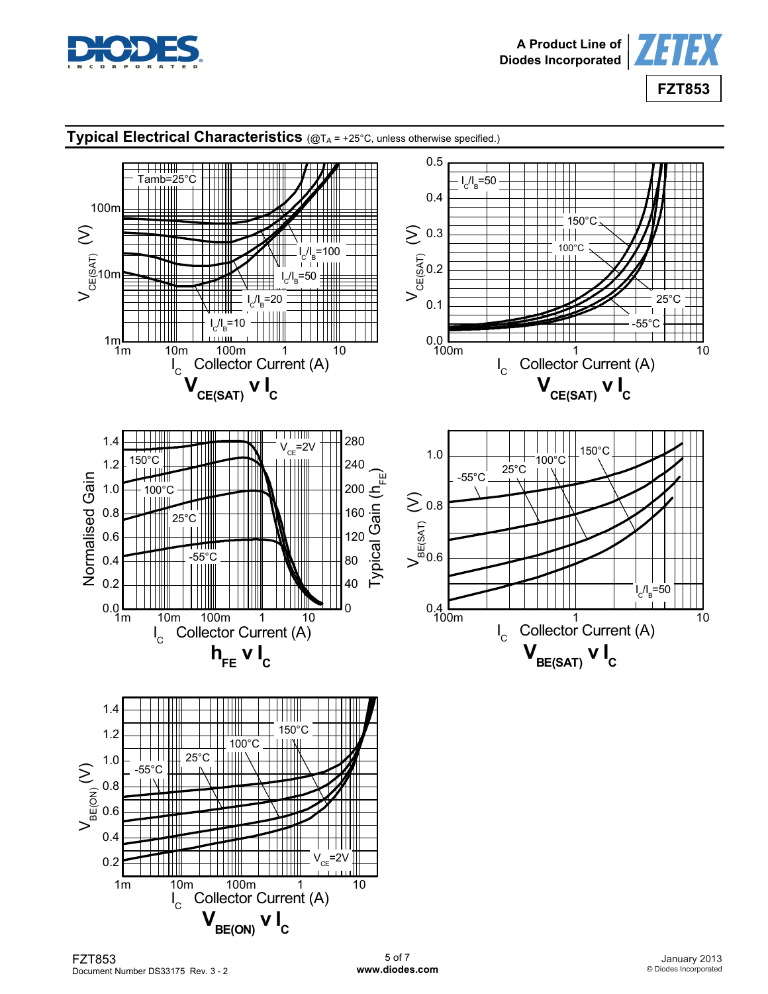



# **Typical Electrical Characteristics** (@TA = +25°C, unless otherwise specified.)

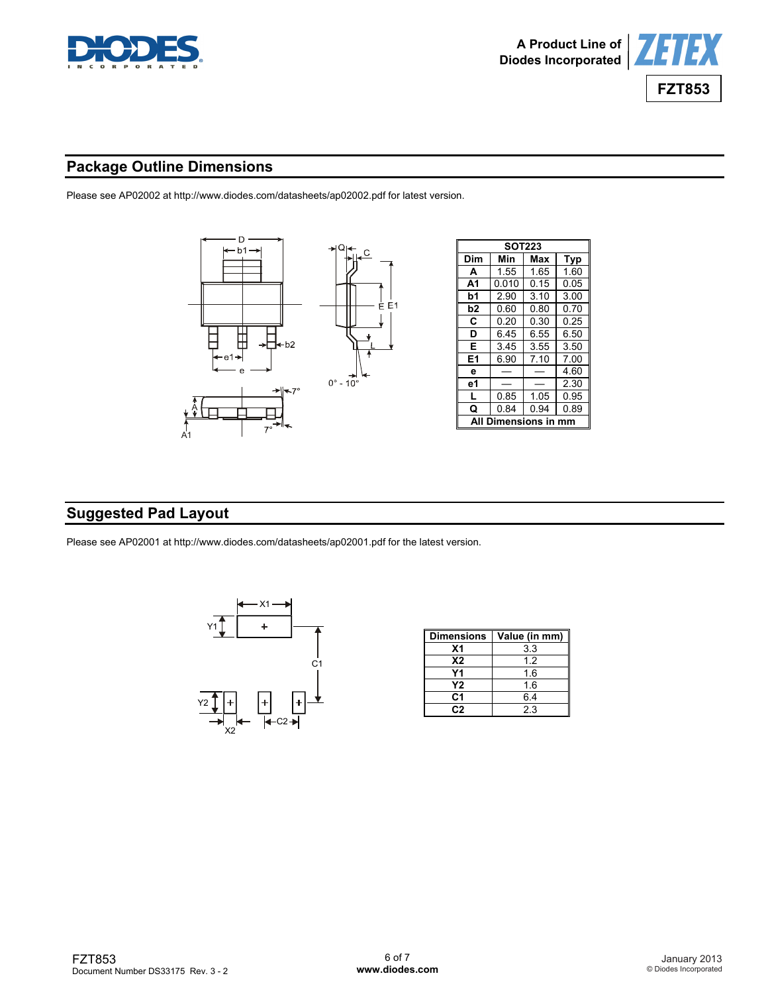



# **Package Outline Dimensions**

Please see AP02002 at [http://www.diodes.com/datasheets/ap02002.pdf fo](http://www.diodes.com/datasheets/ap02002.pdf)r latest version.



# **Suggested Pad Layout**

Please see AP02001 at [http://www.diodes.com/datasheets/ap02001.pdf fo](http://www.diodes.com/datasheets/ap02001.pdf)r the latest version.



| <b>Dimensions</b> | Value (in mm) |
|-------------------|---------------|
| Χ1                | 3.3           |
| <b>X2</b>         | 12            |
| Υ1                | 1.6           |
| Υ2                | 1.6           |
| C1                | 6.4           |
| C2                | 23            |